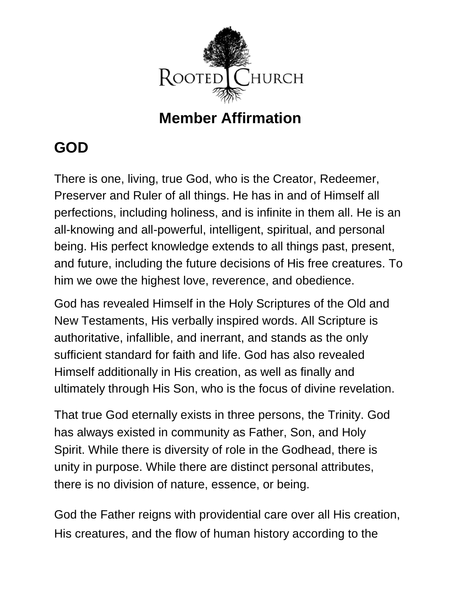

#### **Member Affirmation**

## **GOD**

There is one, living, true God, who is the Creator, Redeemer, Preserver and Ruler of all things. He has in and of Himself all perfections, including holiness, and is infinite in them all. He is an all-knowing and all-powerful, intelligent, spiritual, and personal being. His perfect knowledge extends to all things past, present, and future, including the future decisions of His free creatures. To him we owe the highest love, reverence, and obedience.

God has revealed Himself in the Holy Scriptures of the Old and New Testaments, His verbally inspired words. All Scripture is authoritative, infallible, and inerrant, and stands as the only sufficient standard for faith and life. God has also revealed Himself additionally in His creation, as well as finally and ultimately through His Son, who is the focus of divine revelation.

That true God eternally exists in three persons, the Trinity. God has always existed in community as Father, Son, and Holy Spirit. While there is diversity of role in the Godhead, there is unity in purpose. While there are distinct personal attributes, there is no division of nature, essence, or being.

God the Father reigns with providential care over all His creation, His creatures, and the flow of human history according to the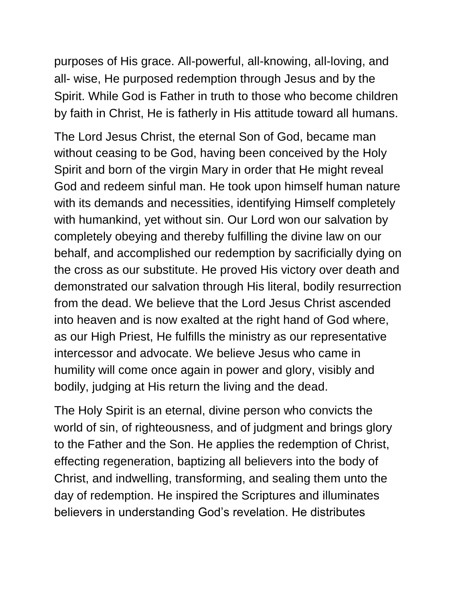purposes of His grace. All-powerful, all-knowing, all-loving, and all- wise, He purposed redemption through Jesus and by the Spirit. While God is Father in truth to those who become children by faith in Christ, He is fatherly in His attitude toward all humans.

The Lord Jesus Christ, the eternal Son of God, became man without ceasing to be God, having been conceived by the Holy Spirit and born of the virgin Mary in order that He might reveal God and redeem sinful man. He took upon himself human nature with its demands and necessities, identifying Himself completely with humankind, yet without sin. Our Lord won our salvation by completely obeying and thereby fulfilling the divine law on our behalf, and accomplished our redemption by sacrificially dying on the cross as our substitute. He proved His victory over death and demonstrated our salvation through His literal, bodily resurrection from the dead. We believe that the Lord Jesus Christ ascended into heaven and is now exalted at the right hand of God where, as our High Priest, He fulfills the ministry as our representative intercessor and advocate. We believe Jesus who came in humility will come once again in power and glory, visibly and bodily, judging at His return the living and the dead.

The Holy Spirit is an eternal, divine person who convicts the world of sin, of righteousness, and of judgment and brings glory to the Father and the Son. He applies the redemption of Christ, effecting regeneration, baptizing all believers into the body of Christ, and indwelling, transforming, and sealing them unto the day of redemption. He inspired the Scriptures and illuminates believers in understanding God's revelation. He distributes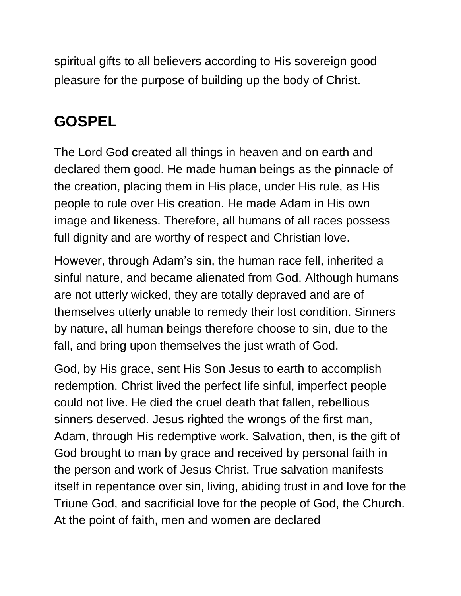spiritual gifts to all believers according to His sovereign good pleasure for the purpose of building up the body of Christ.

# **GOSPEL**

The Lord God created all things in heaven and on earth and declared them good. He made human beings as the pinnacle of the creation, placing them in His place, under His rule, as His people to rule over His creation. He made Adam in His own image and likeness. Therefore, all humans of all races possess full dignity and are worthy of respect and Christian love.

However, through Adam's sin, the human race fell, inherited a sinful nature, and became alienated from God. Although humans are not utterly wicked, they are totally depraved and are of themselves utterly unable to remedy their lost condition. Sinners by nature, all human beings therefore choose to sin, due to the fall, and bring upon themselves the just wrath of God.

God, by His grace, sent His Son Jesus to earth to accomplish redemption. Christ lived the perfect life sinful, imperfect people could not live. He died the cruel death that fallen, rebellious sinners deserved. Jesus righted the wrongs of the first man, Adam, through His redemptive work. Salvation, then, is the gift of God brought to man by grace and received by personal faith in the person and work of Jesus Christ. True salvation manifests itself in repentance over sin, living, abiding trust in and love for the Triune God, and sacrificial love for the people of God, the Church. At the point of faith, men and women are declared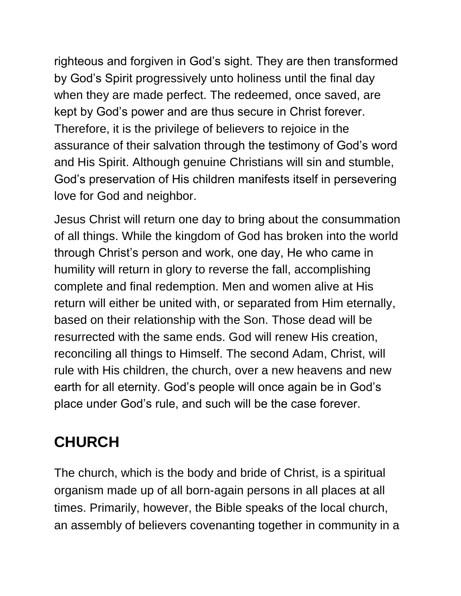righteous and forgiven in God's sight. They are then transformed by God's Spirit progressively unto holiness until the final day when they are made perfect. The redeemed, once saved, are kept by God's power and are thus secure in Christ forever. Therefore, it is the privilege of believers to rejoice in the assurance of their salvation through the testimony of God's word and His Spirit. Although genuine Christians will sin and stumble, God's preservation of His children manifests itself in persevering love for God and neighbor.

Jesus Christ will return one day to bring about the consummation of all things. While the kingdom of God has broken into the world through Christ's person and work, one day, He who came in humility will return in glory to reverse the fall, accomplishing complete and final redemption. Men and women alive at His return will either be united with, or separated from Him eternally, based on their relationship with the Son. Those dead will be resurrected with the same ends. God will renew His creation, reconciling all things to Himself. The second Adam, Christ, will rule with His children, the church, over a new heavens and new earth for all eternity. God's people will once again be in God's place under God's rule, and such will be the case forever.

## **CHURCH**

The church, which is the body and bride of Christ, is a spiritual organism made up of all born-again persons in all places at all times. Primarily, however, the Bible speaks of the local church, an assembly of believers covenanting together in community in a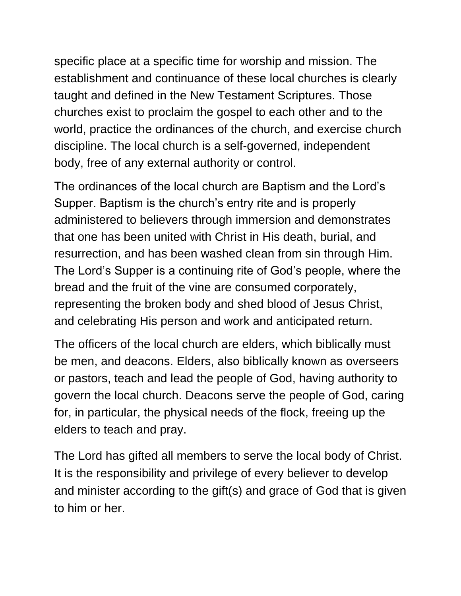specific place at a specific time for worship and mission. The establishment and continuance of these local churches is clearly taught and defined in the New Testament Scriptures. Those churches exist to proclaim the gospel to each other and to the world, practice the ordinances of the church, and exercise church discipline. The local church is a self-governed, independent body, free of any external authority or control.

The ordinances of the local church are Baptism and the Lord's Supper. Baptism is the church's entry rite and is properly administered to believers through immersion and demonstrates that one has been united with Christ in His death, burial, and resurrection, and has been washed clean from sin through Him. The Lord's Supper is a continuing rite of God's people, where the bread and the fruit of the vine are consumed corporately, representing the broken body and shed blood of Jesus Christ, and celebrating His person and work and anticipated return.

The officers of the local church are elders, which biblically must be men, and deacons. Elders, also biblically known as overseers or pastors, teach and lead the people of God, having authority to govern the local church. Deacons serve the people of God, caring for, in particular, the physical needs of the flock, freeing up the elders to teach and pray.

The Lord has gifted all members to serve the local body of Christ. It is the responsibility and privilege of every believer to develop and minister according to the gift(s) and grace of God that is given to him or her.